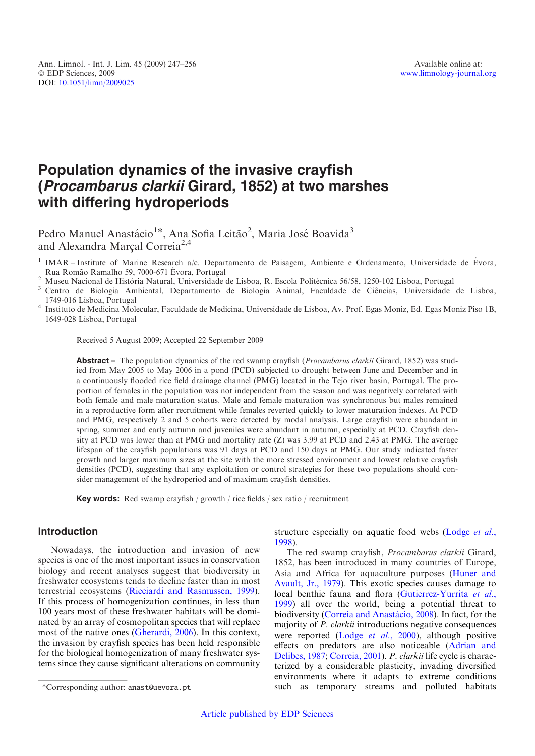# Population dynamics of the invasive crayfish (Procambarus clarkii Girard, 1852) at two marshes with differing hydroperiods

Pedro Manuel Anastácio<sup>1\*</sup>, Ana Sofia Leitão<sup>2</sup>, Maria José Boavida<sup>3</sup> and Alexandra Marçal Correia<sup>2,4</sup>

Rua Romão Ramalho 59, 7000-671 Évora, Portugal<br>
<sup>2</sup> Museu Nacional de História Natural, Universidade de Lisboa, R. Escola Politécnica 56/58, 1250-102 Lisboa, Portugal<br>
<sup>3</sup> Centro de Biologia Ambiental, Departamento de Biol

1749-016 Lisboa, Portugal <sup>4</sup> Instituto de Medicina Molecular, Faculdade de Medicina, Universidade de Lisboa, Av. Prof. Egas Moniz, Ed. Egas Moniz Piso 1B, 1649-028 Lisboa, Portugal

Received 5 August 2009; Accepted 22 September 2009

**Abstract** – The population dynamics of the red swamp crayfish (*Procambarus clarkii* Girard, 1852) was studied from May 2005 to May 2006 in a pond (PCD) subjected to drought between June and December and in a continuously flooded rice field drainage channel (PMG) located in the Tejo river basin, Portugal. The proportion of females in the population was not independent from the season and was negatively correlated with both female and male maturation status. Male and female maturation was synchronous but males remained in a reproductive form after recruitment while females reverted quickly to lower maturation indexes. At PCD and PMG, respectively 2 and 5 cohorts were detected by modal analysis. Large crayfish were abundant in spring, summer and early autumn and juveniles were abundant in autumn, especially at PCD. Crayfish density at PCD was lower than at PMG and mortality rate (Z) was 3.99 at PCD and 2.43 at PMG. The average lifespan of the crayfish populations was 91 days at PCD and 150 days at PMG. Our study indicated faster growth and larger maximum sizes at the site with the more stressed environment and lowest relative crayfish densities (PCD), suggesting that any exploitation or control strategies for these two populations should consider management of the hydroperiod and of maximum crayfish densities.

Key words: Red swamp crayfish / growth / rice fields / sex ratio / recruitment

## Introduction

Nowadays, the introduction and invasion of new species is one of the most important issues in conservation biology and recent analyses suggest that biodiversity in freshwater ecosystems tends to decline faster than in most terrestrial ecosystems ([Ricciardi and Rasmussen, 1999](#page-9-0)). If this process of homogenization continues, in less than 100 years most of these freshwater habitats will be dominated by an array of cosmopolitan species that will replace most of the native ones [\(Gherardi, 2006](#page-8-0)). In this context, the invasion by crayfish species has been held responsible for the biological homogenization of many freshwater systems since they cause significant alterations on community

structure especially on aquatic food webs [\(Lodge](#page-9-0) et al., [1998](#page-9-0)).

The red swamp crayfish, Procambarus clarkii Girard, 1852, has been introduced in many countries of Europe, Asia and Africa for aquaculture purposes ([Huner and](#page-9-0) [Avault, Jr., 1979](#page-9-0)). This exotic species causes damage to local benthic fauna and flora [\(Gutierrez-Yurrita](#page-9-0) et al., [1999](#page-9-0)) all over the world, being a potential threat to biodiversity (Correia and Anastácio, 2008). In fact, for the majority of *P. clarkii* introductions negative consequences were reported (Lodge et al.[, 2000](#page-9-0)), although positive effects on predators are also noticeable ([Adrian and](#page-8-0) [Delibes, 1987;](#page-8-0) [Correia, 2001](#page-8-0)). P. clarkii life cycle is characterized by a considerable plasticity, invading diversified environments where it adapts to extreme conditions \*Corresponding author: anast@uevora.pt such as temporary streams and polluted habitats

<sup>&</sup>lt;sup>1</sup> IMAR – Institute of Marine Research a/c. Departamento de Paisagem, Ambiente e Ordenamento, Universidade de Évora,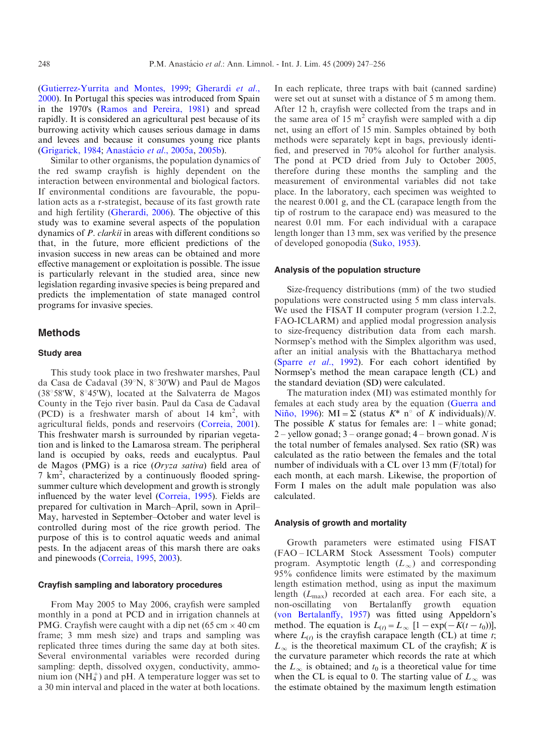([Gutierrez-Yurrita and Montes, 1999](#page-9-0); [Gherardi](#page-8-0) et al., [2000](#page-8-0)). In Portugal this species was introduced from Spain in the 1970's [\(Ramos and Pereira, 1981\)](#page-9-0) and spread rapidly. It is considered an agricultural pest because of its burrowing activity which causes serious damage in dams and levees and because it consumes young rice plants ([Grigarick, 1984](#page-8-0); Anastácio et al., 2005a, [2005b](#page-8-0)).

Similar to other organisms, the population dynamics of the red swamp crayfish is highly dependent on the interaction between environmental and biological factors. If environmental conditions are favourable, the population acts as a r-strategist, because of its fast growth rate and high fertility [\(Gherardi, 2006\)](#page-8-0). The objective of this study was to examine several aspects of the population dynamics of P. clarkii in areas with different conditions so that, in the future, more efficient predictions of the invasion success in new areas can be obtained and more effective management or exploitation is possible. The issue is particularly relevant in the studied area, since new legislation regarding invasive species is being prepared and predicts the implementation of state managed control programs for invasive species.

## Methods

## Study area

This study took place in two freshwater marshes, Paul da Casa de Cadaval (39 $\degree$ N, 8 $\degree$ 30'W) and Paul de Magos  $(38°58'W, 8°45'W)$ , located at the Salvaterra de Magos County in the Tejo river basin. Paul da Casa de Cadaval  $(PCD)$  is a freshwater marsh of about 14  $km^2$ , with agricultural fields, ponds and reservoirs [\(Correia, 2001](#page-8-0)). This freshwater marsh is surrounded by riparian vegetation and is linked to the Lamarosa stream. The peripheral land is occupied by oaks, reeds and eucalyptus. Paul de Magos (PMG) is a rice (Oryza sativa) field area of 7 km<sup>2</sup> , characterized by a continuously flooded springsummer culture which development and growth is strongly influenced by the water level [\(Correia, 1995](#page-8-0)). Fields are prepared for cultivation in March–April, sown in April– May, harvested in September–October and water level is controlled during most of the rice growth period. The purpose of this is to control aquatic weeds and animal pests. In the adjacent areas of this marsh there are oaks and pinewoods ([Correia, 1995,](#page-8-0) [2003\)](#page-8-0).

## Crayfish sampling and laboratory procedures

From May 2005 to May 2006, crayfish were sampled monthly in a pond at PCD and in irrigation channels at PMG. Crayfish were caught with a dip net (65 cm  $\times$  40 cm frame; 3 mm mesh size) and traps and sampling was replicated three times during the same day at both sites. Several environmental variables were recorded during sampling: depth, dissolved oxygen, conductivity, ammonium ion  $(NH_4^+)$  and pH. A temperature logger was set to a 30 min interval and placed in the water at both locations.

In each replicate, three traps with bait (canned sardine) were set out at sunset with a distance of 5 m among them. After 12 h, crayfish were collected from the traps and in the same area of 15  $m<sup>2</sup>$  crayfish were sampled with a dip net, using an effort of 15 min. Samples obtained by both methods were separately kept in bags, previously identified, and preserved in 70% alcohol for further analysis. The pond at PCD dried from July to October 2005, therefore during these months the sampling and the measurement of environmental variables did not take place. In the laboratory, each specimen was weighted to the nearest 0.001 g, and the CL (carapace length from the tip of rostrum to the carapace end) was measured to the nearest 0.01 mm. For each individual with a carapace length longer than 13 mm, sex was verified by the presence of developed gonopodia [\(Suko, 1953\)](#page-9-0).

#### Analysis of the population structure

Size-frequency distributions (mm) of the two studied populations were constructed using 5 mm class intervals. We used the FISAT II computer program (version 1.2.2, FAO-ICLARM) and applied modal progression analysis to size-frequency distribution data from each marsh. Normsep's method with the Simplex algorithm was used, after an initial analysis with the Bhattacharya method (Sparre et al.[, 1992\)](#page-9-0). For each cohort identified by Normsep's method the mean carapace length (CL) and the standard deviation (SD) were calculated.

The maturation index (MI) was estimated monthly for females at each study area by the equation ([Guerra and](#page-9-0) Niño, 1996): MI =  $\Sigma$  (status  $K^*$  n° of K individuals)/N. The possible K status for females are:  $1$  – white gonad; 2 – yellow gonad;  $3$  – orange gonad;  $4$  – brown gonad. N is the total number of females analysed. Sex ratio (SR) was calculated as the ratio between the females and the total number of individuals with a CL over 13 mm (F/total) for each month, at each marsh. Likewise, the proportion of Form I males on the adult male population was also calculated.

#### Analysis of growth and mortality

Growth parameters were estimated using FISAT (FAO – ICLARM Stock Assessment Tools) computer program. Asymptotic length  $(L_{\infty})$  and corresponding 95% confidence limits were estimated by the maximum length estimation method, using as input the maximum length  $(L_{\text{max}})$  recorded at each area. For each site, a non-oscillating von Bertalanffy growth equation ([von Bertalanffy, 1957](#page-9-0)) was fitted using Appeldorn's method. The equation is  $L(t) = L_{\infty} [1 - \exp(-K(t - t_0))],$ where  $L(t)$  is the crayfish carapace length (CL) at time t;  $L_{\infty}$  is the theoretical maximum CL of the crayfish; K is the curvature parameter which records the rate at which the  $L_{\infty}$  is obtained; and  $t_0$  is a theoretical value for time when the CL is equal to 0. The starting value of  $L_{\infty}$  was the estimate obtained by the maximum length estimation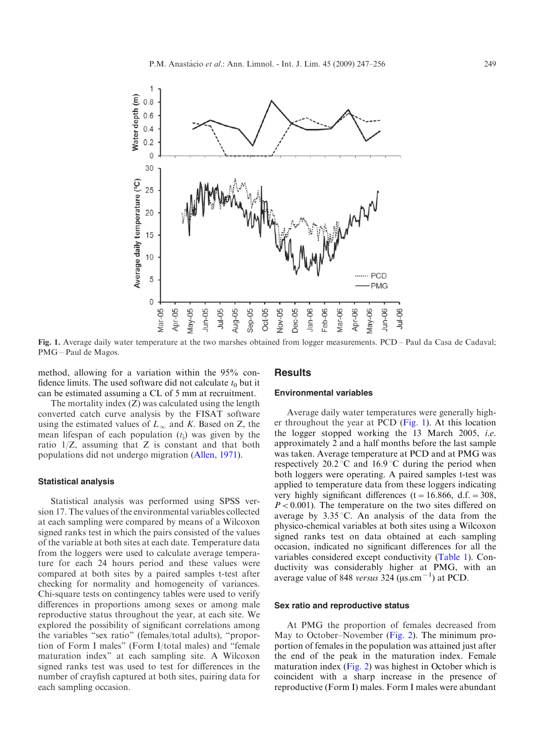

Fig. 1. Average daily water temperature at the two marshes obtained from logger measurements. PCD – Paul da Casa de Cadaval; PMG – Paul de Magos.

method, allowing for a variation within the 95% confidence limits. The used software did not calculate  $t_0$  but it can be estimated assuming a CL of 5 mm at recruitment.

#### **Results**

### Environmental variables

The mortality index (Z) was calculated using the length converted catch curve analysis by the FISAT software using the estimated values of  $L_{\infty}$  and K. Based on Z, the mean lifespan of each population  $(t_1)$  was given by the ratio  $1/Z$ , assuming that Z is constant and that both populations did not undergo migration [\(Allen, 1971](#page-8-0)).

#### Statistical analysis

Statistical analysis was performed using SPSS version 17. The values of the environmental variables collected at each sampling were compared by means of a Wilcoxon signed ranks test in which the pairs consisted of the values of the variable at both sites at each date. Temperature data from the loggers were used to calculate average temperature for each 24 hours period and these values were compared at both sites by a paired samples t-test after checking for normality and homogeneity of variances. Chi-square tests on contingency tables were used to verify differences in proportions among sexes or among male reproductive status throughout the year, at each site. We explored the possibility of significant correlations among the variables "sex ratio" (females/total adults), "proportion of Form I males" (Form I/total males) and "female maturation index" at each sampling site. A Wilcoxon signed ranks test was used to test for differences in the number of crayfish captured at both sites, pairing data for each sampling occasion.

Average daily water temperatures were generally higher throughout the year at PCD  $(Fig. 1)$ . At this location the logger stopped working the 13 March 2005, i.e. approximately 2 and a half months before the last sample was taken. Average temperature at PCD and at PMG was respectively  $20.2 \degree C$  and  $16.9 \degree C$  during the period when both loggers were operating. A paired samples t-test was applied to temperature data from these loggers indicating very highly significant differences (t = 16.866, d.f. = 308,  $P < 0.001$ ). The temperature on the two sites differed on average by  $3.35\,^{\circ}\text{C}$ . An analysis of the data from the physico-chemical variables at both sites using a Wilcoxon signed ranks test on data obtained at each sampling occasion, indicated no significant differences for all the variables considered except conductivity [\(Table 1](#page-3-0)). Conductivity was considerably higher at PMG, with an average value of 848 versus 324  $(\mu s.cm^{-1})$  at PCD.

#### Sex ratio and reproductive status

At PMG the proportion of females decreased from May to October–November ([Fig. 2\)](#page-3-0). The minimum proportion of females in the population was attained just after the end of the peak in the maturation index. Female maturation index [\(Fig. 2](#page-3-0)) was highest in October which is coincident with a sharp increase in the presence of reproductive (Form I) males. Form I males were abundant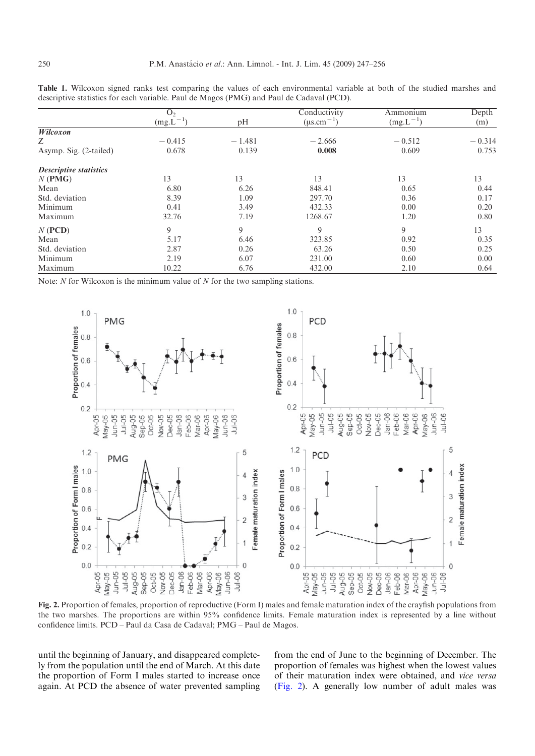|                               | O <sub>2</sub> |          | Conductivity      | Ammonium      | Depth    |
|-------------------------------|----------------|----------|-------------------|---------------|----------|
|                               | $(mg.L^{-1})$  | pH       | $(\mu s.cm^{-1})$ | $(mg.L^{-1})$ | (m)      |
| Wilcoxon                      |                |          |                   |               |          |
| Ζ                             | $-0.415$       | $-1.481$ | $-2.666$          | $-0.512$      | $-0.314$ |
| Asymp. Sig. (2-tailed)        | 0.678          | 0.139    | 0.008             | 0.609         | 0.753    |
| <b>Descriptive statistics</b> |                |          |                   |               |          |
| $N$ (PMG)                     | 13             | 13       | 13                | 13            | 13       |
| Mean                          | 6.80           | 6.26     | 848.41            | 0.65          | 0.44     |
| Std. deviation                | 8.39           | 1.09     | 297.70            | 0.36          | 0.17     |
| Minimum                       | 0.41           | 3.49     | 432.33            | 0.00          | 0.20     |
| Maximum                       | 32.76          | 7.19     | 1268.67           | 1.20          | 0.80     |
| $N$ (PCD)                     | 9              | 9        | 9                 | 9             | 13       |
| Mean                          | 5.17           | 6.46     | 323.85            | 0.92          | 0.35     |
| Std. deviation                | 2.87           | 0.26     | 63.26             | 0.50          | 0.25     |
| Minimum                       | 2.19           | 6.07     | 231.00            | 0.60          | 0.00     |
| Maximum                       | 10.22          | 6.76     | 432.00            | 2.10          | 0.64     |

<span id="page-3-0"></span>Table 1. Wilcoxon signed ranks test comparing the values of each environmental variable at both of the studied marshes and descriptive statistics for each variable. Paul de Magos (PMG) and Paul de Cadaval (PCD).

Note:  $N$  for Wilcoxon is the minimum value of  $N$  for the two sampling stations.



Fig. 2. Proportion of females, proportion of reproductive (Form I) males and female maturation index of the crayfish populations from the two marshes. The proportions are within 95% confidence limits. Female maturation index is represented by a line without confidence limits. PCD – Paul da Casa de Cadaval; PMG – Paul de Magos.

until the beginning of January, and disappeared completely from the population until the end of March. At this date the proportion of Form I males started to increase once again. At PCD the absence of water prevented sampling from the end of June to the beginning of December. The proportion of females was highest when the lowest values of their maturation index were obtained, and vice versa (Fig. 2). A generally low number of adult males was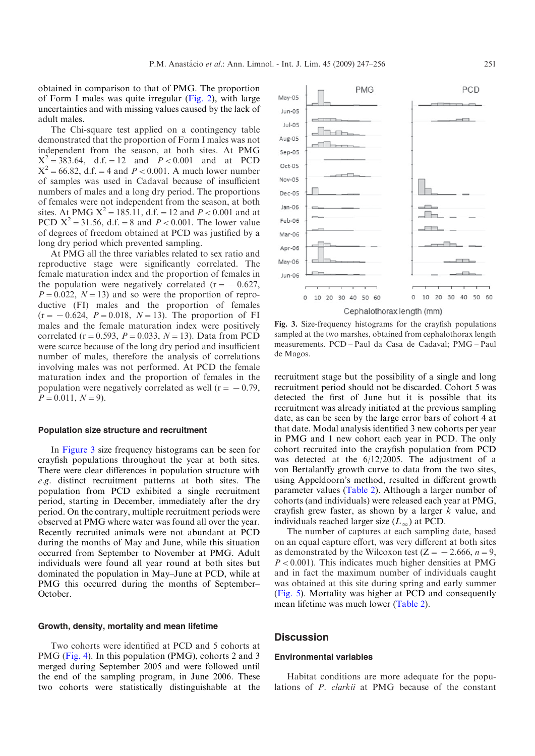obtained in comparison to that of PMG. The proportion of Form I males was quite irregular ([Fig. 2\)](#page-3-0), with large uncertainties and with missing values caused by the lack of adult males.

The Chi-square test applied on a contingency table demonstrated that the proportion of Form I males was not independent from the season, at both sites. At PMG  $X^2 = 383.64$ , d.f. = 12 and  $P < 0.001$  and at PCD  $X^2 = 66.82$ , d.f. = 4 and  $P < 0.001$ . A much lower number of samples was used in Cadaval because of insufficient numbers of males and a long dry period. The proportions of females were not independent from the season, at both sites. At PMG  $X^2 = 185.11$ , d.f. = 12 and  $P < 0.001$  and at PCD  $X^2 = 31.56$ , d.f. = 8 and  $P < 0.001$ . The lower value of degrees of freedom obtained at PCD was justified by a long dry period which prevented sampling.

At PMG all the three variables related to sex ratio and reproductive stage were significantly correlated. The female maturation index and the proportion of females in the population were negatively correlated ( $r = -0.627$ ,  $P=0.022$ ,  $N=13$ ) and so were the proportion of reproductive (FI) males and the proportion of females  $(r = -0.624, P = 0.018, N = 13)$ . The proportion of FI males and the female maturation index were positively correlated (r = 0.593,  $P = 0.033$ ,  $N = 13$ ). Data from PCD were scarce because of the long dry period and insufficient number of males, therefore the analysis of correlations involving males was not performed. At PCD the female maturation index and the proportion of females in the population were negatively correlated as well ( $r = -0.79$ ,  $P=0.011, N=9$ ).

#### Population size structure and recruitment

In Figure 3 size frequency histograms can be seen for crayfish populations throughout the year at both sites. There were clear differences in population structure with e.g. distinct recruitment patterns at both sites. The population from PCD exhibited a single recruitment period, starting in December, immediately after the dry period. On the contrary, multiple recruitment periods were observed at PMG where water was found all over the year. Recently recruited animals were not abundant at PCD during the months of May and June, while this situation occurred from September to November at PMG. Adult individuals were found all year round at both sites but dominated the population in May–June at PCD, while at PMG this occurred during the months of September– October.

#### Growth, density, mortality and mean lifetime

Two cohorts were identified at PCD and 5 cohorts at PMG ([Fig. 4](#page-5-0)). In this population (PMG), cohorts 2 and 3 merged during September 2005 and were followed until the end of the sampling program, in June 2006. These two cohorts were statistically distinguishable at the



Fig. 3. Size-frequency histograms for the crayfish populations sampled at the two marshes, obtained from cephalothorax length measurements. PCD – Paul da Casa de Cadaval; PMG – Paul de Magos.

recruitment stage but the possibility of a single and long recruitment period should not be discarded. Cohort 5 was detected the first of June but it is possible that its recruitment was already initiated at the previous sampling date, as can be seen by the large error bars of cohort 4 at that date. Modal analysis identified 3 new cohorts per year in PMG and 1 new cohort each year in PCD. The only cohort recruited into the crayfish population from PCD was detected at the 6/12/2005. The adjustment of a von Bertalanffy growth curve to data from the two sites, using Appeldoorn's method, resulted in different growth parameter values ([Table 2](#page-5-0)). Although a larger number of cohorts (and individuals) were released each year at PMG, crayfish grew faster, as shown by a larger  $k$  value, and individuals reached larger size  $(L_{\infty})$  at PCD.

The number of captures at each sampling date, based on an equal capture effort, was very different at both sites as demonstrated by the Wilcoxon test ( $Z = -2.666$ ,  $n = 9$ ,  $P < 0.001$ ). This indicates much higher densities at PMG and in fact the maximum number of individuals caught was obtained at this site during spring and early summer ([Fig. 5](#page-6-0)). Mortality was higher at PCD and consequently mean lifetime was much lower [\(Table 2](#page-5-0)).

#### **Discussion**

#### Environmental variables

Habitat conditions are more adequate for the populations of P. clarkii at PMG because of the constant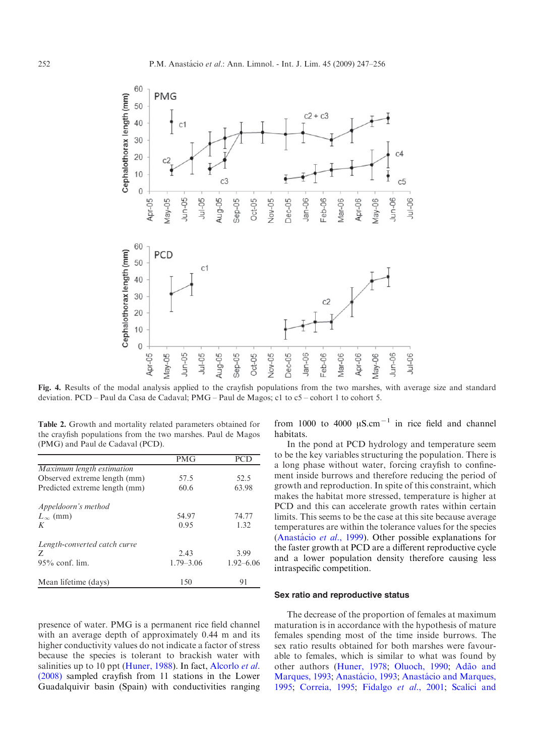<span id="page-5-0"></span>

Fig. 4. Results of the modal analysis applied to the crayfish populations from the two marshes, with average size and standard deviation. PCD – Paul da Casa de Cadaval; PMG – Paul de Magos; c1 to c5 – cohort 1 to cohort 5.

Table 2. Growth and mortality related parameters obtained for the crayfish populations from the two marshes. Paul de Magos (PMG) and Paul de Cadaval (PCD).

|                               | <b>PMG</b>    | PCГ           |
|-------------------------------|---------------|---------------|
| Maximum length estimation     |               |               |
| Observed extreme length (mm)  | 57.5          | 52.5          |
| Predicted extreme length (mm) | 60.6          | 63.98         |
| Appeldoorn's method           |               |               |
| $L_{\infty}$ (mm)             | 54.97         | 74.77         |
| K                             | 0.95          | 1.32          |
| Length-converted catch curve  |               |               |
| Z                             | 2.43          | 3.99          |
| $95\%$ conf. lim.             | $1.79 - 3.06$ | $1.92 - 6.06$ |
| Mean lifetime (days)          | 150           | 91            |

presence of water. PMG is a permanent rice field channel with an average depth of approximately 0.44 m and its higher conductivity values do not indicate a factor of stress because the species is tolerant to brackish water with salinities up to 10 ppt ([Huner, 1988\)](#page-9-0). In fact, [Alcorlo](#page-8-0) et al. [\(2008\)](#page-8-0) sampled crayfish from 11 stations in the Lower Guadalquivir basin (Spain) with conductivities ranging from 1000 to 4000  $\mu$ S.cm<sup>-1</sup> in rice field and channel habitats.

In the pond at PCD hydrology and temperature seem to be the key variables structuring the population. There is a long phase without water, forcing crayfish to confinement inside burrows and therefore reducing the period of growth and reproduction. In spite of this constraint, which makes the habitat more stressed, temperature is higher at PCD and this can accelerate growth rates within certain limits. This seems to be the case at this site because average temperatures are within the tolerance values for the species (Anastácio et al., 1999). Other possible explanations for the faster growth at PCD are a different reproductive cycle and a lower population density therefore causing less intraspecific competition.

## Sex ratio and reproductive status

The decrease of the proportion of females at maximum maturation is in accordance with the hypothesis of mature females spending most of the time inside burrows. The sex ratio results obtained for both marshes were favourable to females, which is similar to what was found by other authors ([Huner, 1978](#page-9-0); [Oluoch, 1990;](#page-9-0) Adão and [Marques, 1993](#page-8-0); Anastácio, 1993; Anastácio and Marques, [1995](#page-8-0); [Correia, 1995;](#page-8-0) [Fidalgo](#page-8-0) et al., 2001; [Scalici and](#page-9-0)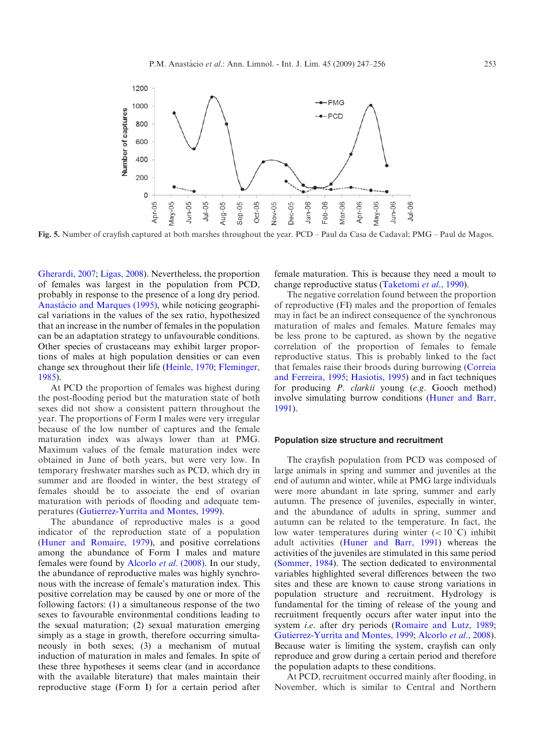<span id="page-6-0"></span>

Fig. 5. Number of crayfish captured at both marshes throughout the year. PCD – Paul da Casa de Cadaval; PMG – Paul de Magos.

[Gherardi, 2007](#page-9-0); [Ligas, 2008](#page-9-0)). Nevertheless, the proportion of females was largest in the population from PCD, probably in response to the presence of a long dry period. Anastácio and Marques (1995), while noticing geographical variations in the values of the sex ratio, hypothesized that an increase in the number of females in the population can be an adaptation strategy to unfavourable conditions. Other species of crustaceans may exhibit larger proportions of males at high population densities or can even change sex throughout their life ([Heinle, 1970;](#page-9-0) [Fleminger,](#page-8-0) [1985](#page-8-0)).

At PCD the proportion of females was highest during the post-flooding period but the maturation state of both sexes did not show a consistent pattern throughout the year. The proportions of Form I males were very irregular because of the low number of captures and the female maturation index was always lower than at PMG. Maximum values of the female maturation index were obtained in June of both years, but were very low. In temporary freshwater marshes such as PCD, which dry in summer and are flooded in winter, the best strategy of females should be to associate the end of ovarian maturation with periods of flooding and adequate temperatures ([Gutierrez-Yurrita and Montes, 1999\)](#page-9-0).

The abundance of reproductive males is a good indicator of the reproduction state of a population ([Huner and Romaire, 1979\)](#page-9-0), and positive correlations among the abundance of Form I males and mature females were found by [Alcorlo](#page-8-0) et al. (2008). In our study, the abundance of reproductive males was highly synchronous with the increase of female's maturation index. This positive correlation may be caused by one or more of the following factors: (1) a simultaneous response of the two sexes to favourable environmental conditions leading to the sexual maturation; (2) sexual maturation emerging simply as a stage in growth, therefore occurring simultaneously in both sexes; (3) a mechanism of mutual induction of maturation in males and females. In spite of these three hypotheses it seems clear (and in accordance with the available literature) that males maintain their reproductive stage (Form I) for a certain period after

female maturation. This is because they need a moult to change reproductive status [\(Taketomi](#page-9-0) et al., 1990).

The negative correlation found between the proportion of reproductive (FI) males and the proportion of females may in fact be an indirect consequence of the synchronous maturation of males and females. Mature females may be less prone to be captured, as shown by the negative correlation of the proportion of females to female reproductive status. This is probably linked to the fact that females raise their broods during burrowing [\(Correia](#page-8-0) [and Ferreira, 1995;](#page-8-0) [Hasiotis, 1995\)](#page-9-0) and in fact techniques for producing P. clarkii young (e.g. Gooch method) involve simulating burrow conditions [\(Huner and Barr,](#page-9-0) [1991](#page-9-0)).

#### Population size structure and recruitment

The crayfish population from PCD was composed of large animals in spring and summer and juveniles at the end of autumn and winter, while at PMG large individuals were more abundant in late spring, summer and early autumn. The presence of juveniles, especially in winter, and the abundance of adults in spring, summer and autumn can be related to the temperature. In fact, the low water temperatures during winter  $(<10^{\circ}C)$  inhibit adult activities ([Huner and Barr, 1991](#page-9-0)) whereas the activities of the juveniles are stimulated in this same period ([Sommer, 1984\)](#page-9-0). The section dedicated to environmental variables highlighted several differences between the two sites and these are known to cause strong variations in population structure and recruitment. Hydrology is fundamental for the timing of release of the young and recruitment frequently occurs after water input into the system *i.e.* after dry periods ([Romaire and Lutz, 1989;](#page-9-0) [Gutierrez-Yurrita and Montes, 1999;](#page-9-0) [Alcorlo](#page-8-0) et al., 2008). Because water is limiting the system, crayfish can only reproduce and grow during a certain period and therefore the population adapts to these conditions.

At PCD, recruitment occurred mainly after flooding, in November, which is similar to Central and Northern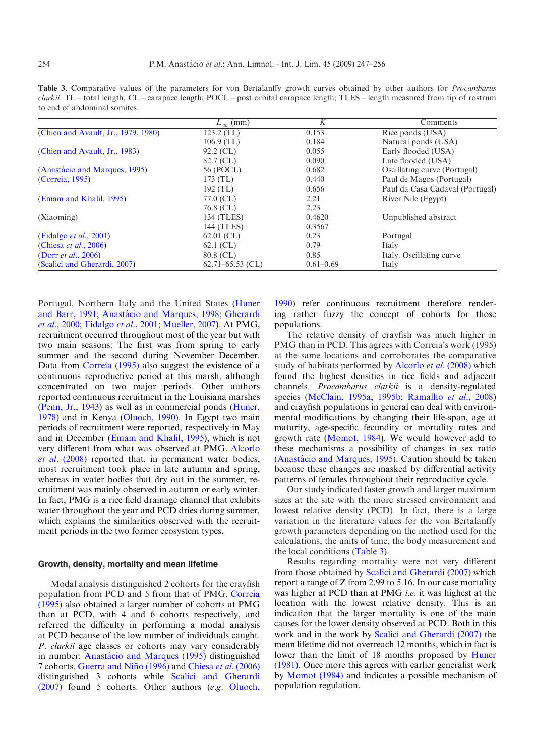| to end of abdominal somites.        |                      |               |                                 |  |  |  |
|-------------------------------------|----------------------|---------------|---------------------------------|--|--|--|
|                                     | $L_{\infty}$ (mm)    | K             | Comments                        |  |  |  |
| (Chien and Avault, Jr., 1979, 1980) | $123.2$ (TL)         | 0.153         | Rice ponds (USA)                |  |  |  |
|                                     | $106.9$ (TL)         | 0.184         | Natural ponds (USA)             |  |  |  |
| (Chien and Avault, Jr., 1983)       | $92.2$ (CL)          | 0.055         | Early flooded (USA)             |  |  |  |
|                                     | 82.7 (CL)            | 0.090         | Late flooded (USA)              |  |  |  |
| (Anastácio and Marques, 1995)       | 56 (POCL)            | 0.682         | Oscillating curve (Portugal)    |  |  |  |
| (Correia, 1995)                     | $173$ (TL)           | 0.440         | Paul de Magos (Portugal)        |  |  |  |
|                                     | $192$ (TL)           | 0.656         | Paul da Casa Cadaval (Portugal) |  |  |  |
| (Emam and Khalil, 1995)             | 77.0 (CL)            | 2.21          | River Nile (Egypt)              |  |  |  |
|                                     | 76.8 (CL)            | 2.23          |                                 |  |  |  |
| (Xiaoming)                          | 134 (TLES)           | 0.4620        | Unpublished abstract            |  |  |  |
|                                     | 144 (TLES)           | 0.3567        |                                 |  |  |  |
| (Fidalgo <i>et al.</i> , 2001)      | $62.01$ (CL)         | 0.23          | Portugal                        |  |  |  |
| (Chiesa <i>et al.</i> , 2006)       | $62.1$ (CL)          | 0.79          | Italy                           |  |  |  |
| (Dorr <i>et al.</i> , 2006)         | 80.8 (CL)            | 0.85          | Italy. Oscillating curve.       |  |  |  |
| (Scalici and Gherardi, 2007)        | $62.71 - 65.53$ (CL) | $0.61 - 0.69$ | Italy                           |  |  |  |

Table 3. Comparative values of the parameters for von Bertalanffy growth curves obtained by other authors for *Procambarus* clarkii. TL – total length; CL – carapace length; POCL – post orbital carapace length; TLES – length measured from tip of rostrum

Portugal, Northern Italy and the United States [\(Huner](#page-9-0) [and Barr, 1991](#page-9-0); Anastácio and Marques, 1998; [Gherardi](#page-8-0) et al.[, 2000](#page-8-0); [Fidalgo](#page-8-0) et al., 2001; [Mueller, 2007](#page-9-0)). At PMG, recruitment occurred throughout most of the year but with two main seasons: The first was from spring to early summer and the second during November–December. Data from [Correia \(1995\)](#page-8-0) also suggest the existence of a continuous reproductive period at this marsh, although concentrated on two major periods. Other authors reported continuous recruitment in the Louisiana marshes ([Penn, Jr., 1943](#page-9-0)) as well as in commercial ponds [\(Huner,](#page-9-0) [1978](#page-9-0)) and in Kenya ([Oluoch, 1990\)](#page-9-0). In Egypt two main periods of recruitment were reported, respectively in May and in December [\(Emam and Khalil, 1995](#page-8-0)), which is not very different from what was observed at PMG. [Alcorlo](#page-8-0) et al[. \(2008\)](#page-8-0) reported that, in permanent water bodies, most recruitment took place in late autumn and spring, whereas in water bodies that dry out in the summer, recruitment was mainly observed in autumn or early winter. In fact, PMG is a rice field drainage channel that exhibits water throughout the year and PCD dries during summer, which explains the similarities observed with the recruitment periods in the two former ecosystem types.

## Growth, density, mortality and mean lifetime

Modal analysis distinguished 2 cohorts for the crayfish population from PCD and 5 from that of PMG. [Correia](#page-8-0) [\(1995\)](#page-8-0) also obtained a larger number of cohorts at PMG than at PCD, with 4 and 6 cohorts respectively, and referred the difficulty in performing a modal analysis at PCD because of the low number of individuals caught. P. clarkii age classes or cohorts may vary considerably in number: Anastácio and Marques (1995) distinguished 7 cohorts, Guerra and Niño (1996) and Chiesa et al[. \(2006\)](#page-8-0) distinguished 3 cohorts while [Scalici and Gherardi](#page-9-0) [\(2007\)](#page-9-0) found 5 cohorts. Other authors (e.g. [Oluoch,](#page-9-0)

[1990](#page-9-0)) refer continuous recruitment therefore rendering rather fuzzy the concept of cohorts for those populations.

The relative density of crayfish was much higher in PMG than in PCD. This agrees with Correia's work (1995) at the same locations and corroborates the comparative study of habitats performed by [Alcorlo](#page-8-0) et al. (2008) which found the highest densities in rice fields and adjacent channels. Procambarus clarkii is a density-regulated species ([McClain, 1995a](#page-9-0), [1995b](#page-9-0); [Ramalho](#page-9-0) et al., 2008) and crayfish populations in general can deal with environmental modifications by changing their life-span, age at maturity, age-specific fecundity or mortality rates and growth rate ([Momot, 1984](#page-9-0)). We would however add to these mechanisms a possibility of changes in sex ratio (Anastácio and Marques, 1995). Caution should be taken because these changes are masked by differential activity patterns of females throughout their reproductive cycle.

Our study indicated faster growth and larger maximum sizes at the site with the more stressed environment and lowest relative density (PCD). In fact, there is a large variation in the literature values for the von Bertalanffy growth parameters depending on the method used for the calculations, the units of time, the body measurement and the local conditions (Table 3).

Results regarding mortality were not very different from those obtained by [Scalici and Gherardi \(2007\)](#page-9-0) which report a range of Z from 2.99 to 5.16. In our case mortality was higher at PCD than at PMG *i.e.* it was highest at the location with the lowest relative density. This is an indication that the larger mortality is one of the main causes for the lower density observed at PCD. Both in this work and in the work by [Scalici and Gherardi \(2007\)](#page-9-0) the mean lifetime did not overreach 12 months, which in fact is lower than the limit of 18 months proposed by [Huner](#page-9-0) [\(1981\).](#page-9-0) Once more this agrees with earlier generalist work by [Momot \(1984\)](#page-9-0) and indicates a possible mechanism of population regulation.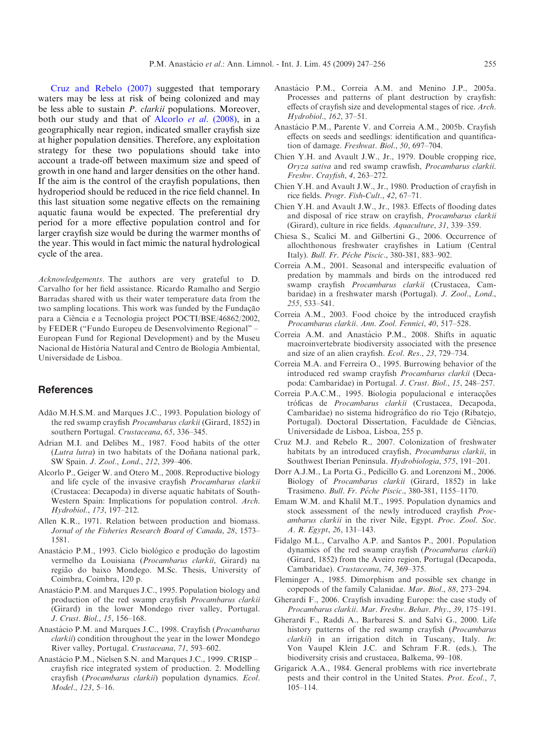<span id="page-8-0"></span>Cruz and Rebelo (2007) suggested that temporary waters may be less at risk of being colonized and may be less able to sustain P. clarkii populations. Moreover, both our study and that of Alcorlo et al. (2008), in a geographically near region, indicated smaller crayfish size at higher population densities. Therefore, any exploitation strategy for these two populations should take into account a trade-off between maximum size and speed of growth in one hand and larger densities on the other hand. If the aim is the control of the crayfish populations, then hydroperiod should be reduced in the rice field channel. In this last situation some negative effects on the remaining aquatic fauna would be expected. The preferential dry period for a more effective population control and for larger crayfish size would be during the warmer months of the year. This would in fact mimic the natural hydrological cycle of the area.

Acknowledgements. The authors are very grateful to D. Carvalho for her field assistance. Ricardo Ramalho and Sergio Barradas shared with us their water temperature data from the two sampling locations. This work was funded by the Fundação para a Ciência e a Tecnologia project POCTI/BSE/46862/2002, by FEDER ("Fundo Europeu de Desenvolvimento Regional" – European Fund for Regional Development) and by the Museu Nacional de História Natural and Centro de Biologia Ambiental, Universidade de Lisboa.

## **References**

- Adão M.H.S.M. and Marques J.C., 1993. Population biology of the red swamp crayfish Procambarus clarkii (Girard, 1852) in southern Portugal. Crustaceana, 65, 336-345.
- Adrian M.I. and Delibes M., 1987. Food habits of the otter  $(Lutra lutra)$  in two habitats of the Doñana national park, SW Spain. J. Zool., Lond., 212, 399–406.
- Alcorlo P., Geiger W. and Otero M., 2008. Reproductive biology and life cycle of the invasive crayfish Procambarus clarkii (Crustacea: Decapoda) in diverse aquatic habitats of South-Western Spain: Implications for population control. Arch. Hydrobiol., 173, 197–212.
- Allen K.R., 1971. Relation between production and biomass. Jornal of the Fisheries Research Board of Canada, 28, 1573– 1581.
- Anastácio P.M., 1993. Ciclo biológico e produção do lagostim vermelho da Louisiana (Procambarus clarkii, Girard) na região do baixo Mondego. M.Sc. Thesis, University of Coimbra, Coimbra, 120 p.
- Anastácio P.M. and Marques J.C., 1995. Population biology and production of the red swamp crayfish Procambarus clarkii (Girard) in the lower Mondego river valley, Portugal. J. Crust. Biol., 15, 156–168.
- Anastácio P.M. and Marques J.C., 1998. Crayfish (Procambarus clarkii) condition throughout the year in the lower Mondego River valley, Portugal. Crustaceana, 71, 593–602.
- Anastácio P.M., Nielsen S.N. and Marques J.C., 1999. CRISP crayfish rice integrated system of production. 2. Modelling crayfish (Procambarus clarkii) population dynamics. Ecol. Model., 123, 5–16.
- Anastácio P.M., Correia A.M. and Menino J.P., 2005a. Processes and patterns of plant destruction by crayfish: effects of crayfish size and developmental stages of rice. Arch. Hydrobiol., 162, 37–51.
- Anastácio P.M., Parente V. and Correia A.M., 2005b. Crayfish effects on seeds and seedlings: identification and quantification of damage. Freshwat. Biol., 50, 697–704.
- Chien Y.H. and Avault J.W., Jr., 1979. Double cropping rice, Oryza sativa and red swamp crawfish, Procambarus clarkii. Freshw. Crayfish, 4, 263–272.
- Chien Y.H. and Avault J.W., Jr., 1980. Production of crayfish in rice fields. Progr. Fish-Cult., 42, 67–71.
- Chien Y.H. and Avault J.W., Jr., 1983. Effects of flooding dates and disposal of rice straw on crayfish, Procambarus clarkii (Girard), culture in rice fields. Aquaculture, 31, 339–359.
- Chiesa S., Scalici M. and Gilbertini G., 2006. Occurrence of allochthonous freshwater crayfishes in Latium (Central Italy). Bull. Fr. Pêche Piscic., 380-381, 883-902.
- Correia A.M., 2001. Seasonal and interspecific evaluation of predation by mammals and birds on the introduced red swamp crayfish Procambarus clarkii (Crustacea, Cambaridae) in a freshwater marsh (Portugal). J. Zool., Lond., 255, 533–541.
- Correia A.M., 2003. Food choice by the introduced crayfish Procambarus clarkii. Ann. Zool. Fennici, 40, 517–528.
- Correia A.M. and Anastácio P.M., 2008. Shifts in aquatic macroinvertebrate biodiversity associated with the presence and size of an alien crayfish. Ecol. Res., 23, 729–734.
- Correia M.A. and Ferreira O., 1995. Burrowing behavior of the introduced red swamp crayfish Procambarus clarkii (Decapoda: Cambaridae) in Portugal. J. Crust. Biol., 15, 248–257.
- Correia P.A.C.M., 1995. Biologia populacional e interacções tróficas de Procambarus clarkii (Crustacea, Decapoda, Cambaridae) no sistema hidrográfico do rio Tejo (Ribatejo, Portugal). Doctoral Dissertation, Faculdade de Ciências, Universidade de Lisboa, Lisboa, 255 p.
- Cruz M.J. and Rebelo R., 2007. Colonization of freshwater habitats by an introduced crayfish, Procambarus clarkii, in Southwest Iberian Peninsula. Hydrobiologia, 575, 191–201.
- Dorr A.J.M., La Porta G., Pedicillo G. and Lorenzoni M., 2006. Biology of Procambarus clarkii (Girard, 1852) in lake Trasimeno. Bull. Fr. Pêche Piscic., 380-381, 1155-1170.
- Emam W.M. and Khalil M.T., 1995. Population dynamics and stock assessment of the newly introduced crayfish Procambarus clarkii in the river Nile, Egypt. Proc. Zool. Soc. A. R. Egypt, 26, 131–143.
- Fidalgo M.L., Carvalho A.P. and Santos P., 2001. Population dynamics of the red swamp crayfish (Procambarus clarkii) (Girard, 1852) from the Aveiro region, Portugal (Decapoda, Cambaridae). Crustaceana, 74, 369–375.
- Fleminger A., 1985. Dimorphism and possible sex change in copepods of the family Calanidae. Mar. Biol., 88, 273–294.
- Gherardi F., 2006. Crayfish invading Europe: the case study of Procambarus clarkii. Mar. Freshw. Behav. Phy., 39, 175–191.
- Gherardi F., Raddi A., Barbaresi S. and Salvi G., 2000. Life history patterns of the red swamp crayfish (Procambarus clarkii) in an irrigation ditch in Tuscany, Italy. In: Von Vaupel Klein J.C. and Schram F.R. (eds.), The biodiversity crisis and crustacea, Balkema, 99–108.
- Grigarick A.A., 1984. General problems with rice invertebrate pests and their control in the United States. Prot. Ecol., 7, 105–114.